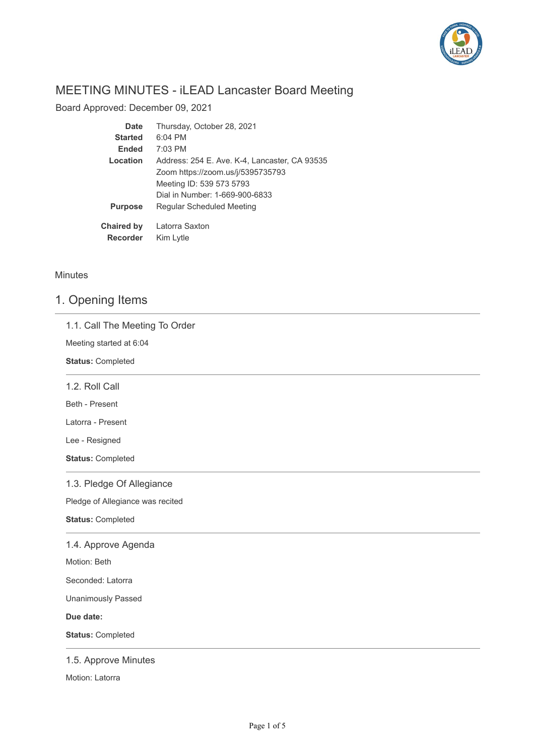

# MEETING MINUTES - iLEAD Lancaster Board Meeting

Board Approved: December 09, 2021

| Date              | Thursday, October 28, 2021                    |
|-------------------|-----------------------------------------------|
| <b>Started</b>    | $6:04$ PM                                     |
| <b>Ended</b>      | $7:03$ PM                                     |
| Location          | Address: 254 E. Ave. K-4, Lancaster, CA 93535 |
|                   | Zoom https://zoom.us/j/5395735793             |
|                   | Meeting ID: 539 573 5793                      |
|                   | Dial in Number: 1-669-900-6833                |
| <b>Purpose</b>    | Regular Scheduled Meeting                     |
| <b>Chaired by</b> | Latorra Saxton                                |
| <b>Recorder</b>   | Kim Lytle                                     |

### Minutes

# 1. Opening Items

| 1.1. Call The Meeting To Order   |
|----------------------------------|
| Meeting started at 6:04          |
| <b>Status: Completed</b>         |
| 1.2. Roll Call                   |
| Beth - Present                   |
| Latorra - Present                |
| Lee - Resigned                   |
| <b>Status: Completed</b>         |
| 1.3. Pledge Of Allegiance        |
| Pledge of Allegiance was recited |
| <b>Status: Completed</b>         |
| 1.4. Approve Agenda              |
| Motion: Beth                     |
| Seconded: Latorra                |
| <b>Unanimously Passed</b>        |
| Due date:                        |
| <b>Status: Completed</b>         |
| 1.5. Approve Minutes             |

Motion: Latorra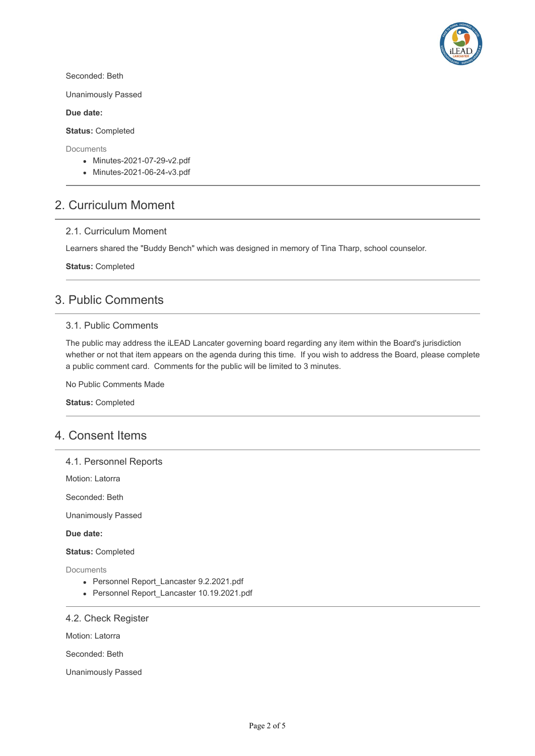

Seconded: Beth

Unanimously Passed

### **Due date:**

### **Status:** Completed

**Documents** 

- Minutes-2021-07-29-v2.pdf
- Minutes-2021-06-24-v3.pdf

## 2. Curriculum Moment

### 2.1. Curriculum Moment

Learners shared the "Buddy Bench" which was designed in memory of Tina Tharp, school counselor.

**Status:** Completed

## 3. Public Comments

### 3.1. Public Comments

The public may address the iLEAD Lancater governing board regarding any item within the Board's jurisdiction whether or not that item appears on the agenda during this time. If you wish to address the Board, please complete a public comment card. Comments for the public will be limited to 3 minutes.

No Public Comments Made

**Status:** Completed

### 4. Consent Items

### 4.1. Personnel Reports

Motion: Latorra

Seconded: Beth

Unanimously Passed

#### **Due date:**

**Status:** Completed

Documents

- Personnel Report Lancaster 9.2.2021.pdf
- Personnel Report\_Lancaster 10.19.2021.pdf

### 4.2. Check Register

Motion: Latorra

Seconded: Beth

Unanimously Passed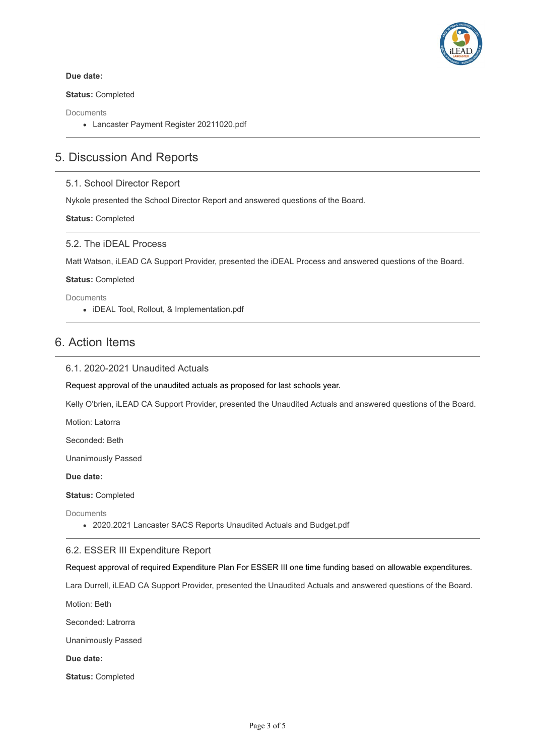

### **Due date:**

### **Status:** Completed

Documents

Lancaster Payment Register 20211020.pdf

## 5. Discussion And Reports

### 5.1. School Director Report

Nykole presented the School Director Report and answered questions of the Board.

**Status:** Completed

### 5.2. The iDEAL Process

Matt Watson, iLEAD CA Support Provider, presented the iDEAL Process and answered questions of the Board.

**Status:** Completed

Documents

iDEAL Tool, Rollout, & Implementation.pdf

## 6. Action Items

### 6.1. 2020-2021 Unaudited Actuals

Request approval of the unaudited actuals as proposed for last schools year.

Kelly O'brien, iLEAD CA Support Provider, presented the Unaudited Actuals and answered questions of the Board.

Motion: Latorra

Seconded: Beth

Unanimously Passed

**Due date:**

**Status:** Completed

**Documents** 

2020.2021 Lancaster SACS Reports Unaudited Actuals and Budget.pdf

### 6.2. ESSER III Expenditure Report

Request approval of required Expenditure Plan For ESSER III one time funding based on allowable expenditures.

Lara Durrell, iLEAD CA Support Provider, presented the Unaudited Actuals and answered questions of the Board.

Motion: Beth

Seconded: Latrorra

Unanimously Passed

**Due date:**

**Status:** Completed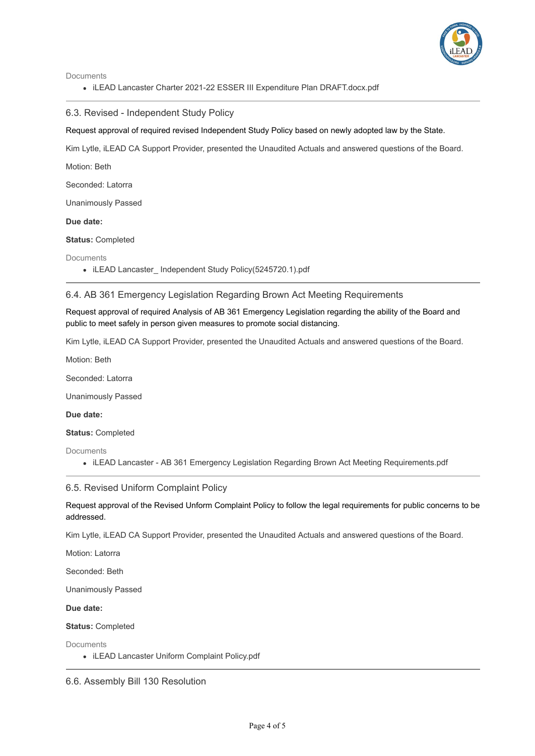

Documents

• iLEAD Lancaster Charter 2021-22 ESSER III Expenditure Plan DRAFT.docx.pdf

6.3. Revised - Independent Study Policy

Request approval of required revised Independent Study Policy based on newly adopted law by the State.

Kim Lytle, iLEAD CA Support Provider, presented the Unaudited Actuals and answered questions of the Board.

Motion: Beth

Seconded: Latorra

Unanimously Passed

**Due date:**

**Status:** Completed

Documents

• iLEAD Lancaster\_ Independent Study Policy(5245720.1).pdf

### 6.4. AB 361 Emergency Legislation Regarding Brown Act Meeting Requirements

Request approval of required Analysis of AB 361 Emergency Legislation regarding the ability of the Board and public to meet safely in person given measures to promote social distancing.

Kim Lytle, iLEAD CA Support Provider, presented the Unaudited Actuals and answered questions of the Board.

Motion: Beth

Seconded: Latorra

Unanimously Passed

**Due date:**

**Status:** Completed

**Documents** 

iLEAD Lancaster - AB 361 Emergency Legislation Regarding Brown Act Meeting Requirements.pdf

### 6.5. Revised Uniform Complaint Policy

Request approval of the Revised Unform Complaint Policy to follow the legal requirements for public concerns to be addressed.

Kim Lytle, iLEAD CA Support Provider, presented the Unaudited Actuals and answered questions of the Board.

Motion: Latorra

Seconded: Beth

Unanimously Passed

**Due date:**

**Status:** Completed

**Documents** 

• iLEAD Lancaster Uniform Complaint Policy.pdf

6.6. Assembly Bill 130 Resolution